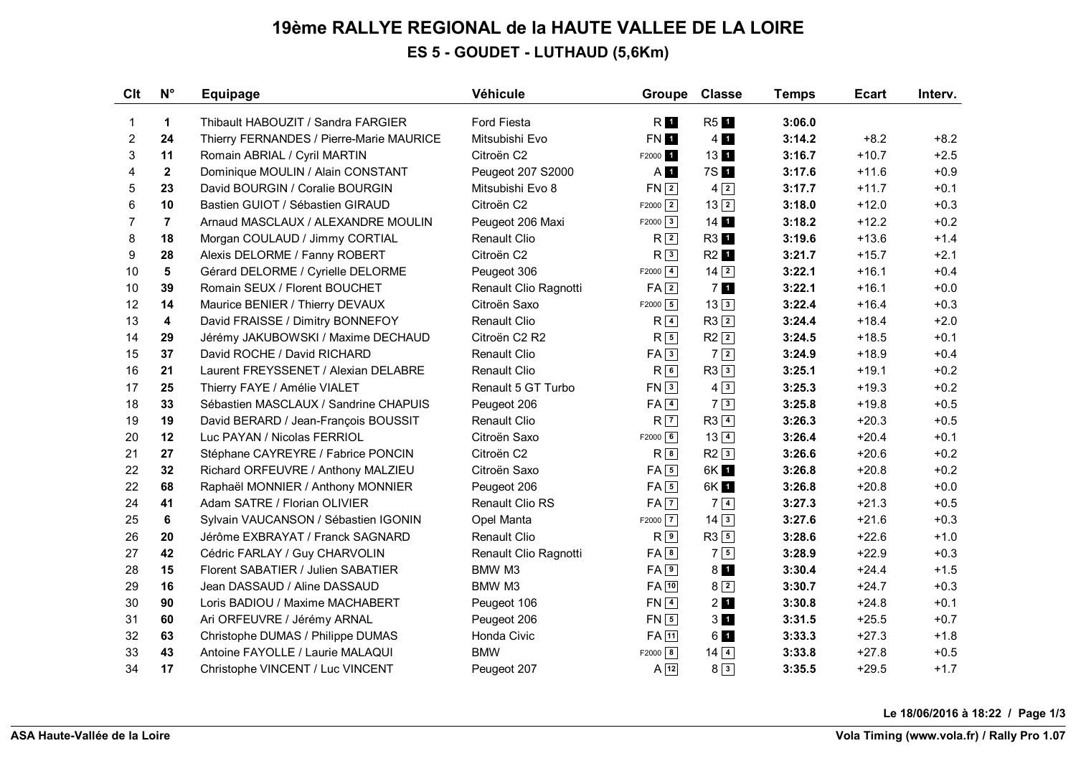## **19ème RALLYE REGIONAL de la HAUTE VALLEE DE LA LOIRE ES 5 - GOUDET - LUTHAUD (5,6Km)**

| Clt            | $N^{\circ}$    | <b>Equipage</b>                          | Véhicule               | Groupe               | <b>Classe</b>     | <b>Temps</b> | <b>Ecart</b> | Interv. |
|----------------|----------------|------------------------------------------|------------------------|----------------------|-------------------|--------------|--------------|---------|
| $\mathbf{1}$   | $\mathbf{1}$   | Thibault HABOUZIT / Sandra FARGIER       | <b>Ford Fiesta</b>     | R <b>1</b>           | R <sub>5</sub> 1  | 3:06.0       |              |         |
| 2              | 24             | Thierry FERNANDES / Pierre-Marie MAURICE | Mitsubishi Evo         | FN 1                 | $4$ 1             | 3:14.2       | $+8.2$       | $+8.2$  |
| 3              | 11             | Romain ABRIAL / Cyril MARTIN             | Citroën C2             | F2000 1              | $13$ 1            | 3:16.7       | $+10.7$      | $+2.5$  |
| 4              | $\mathbf{2}$   | Dominique MOULIN / Alain CONSTANT        | Peugeot 207 S2000      | A <sup>I</sup>       | 7S 1              | 3:17.6       | $+11.6$      | $+0.9$  |
| 5              | 23             | David BOURGIN / Coralie BOURGIN          | Mitsubishi Evo 8       | $FN$ $2$             | $4\sqrt{2}$       | 3:17.7       | $+11.7$      | $+0.1$  |
| 6              | 10             | Bastien GUIOT / Sébastien GIRAUD         | Citroën C2             | $F2000$ <sup>2</sup> | $13\sqrt{2}$      | 3:18.0       | $+12.0$      | $+0.3$  |
| $\overline{7}$ | $\overline{7}$ | Arnaud MASCLAUX / ALEXANDRE MOULIN       | Peugeot 206 Maxi       | $F2000$ 3            | $14$ 1            | 3:18.2       | $+12.2$      | $+0.2$  |
| 8              | 18             | Morgan COULAUD / Jimmy CORTIAL           | Renault Clio           | R <sub>2</sub>       | R3 1              | 3:19.6       | $+13.6$      | $+1.4$  |
| 9              | 28             | Alexis DELORME / Fanny ROBERT            | Citroën C2             | R <sup>3</sup>       | R2 1              | 3:21.7       | $+15.7$      | $+2.1$  |
| 10             | 5              | Gérard DELORME / Cyrielle DELORME        | Peugeot 306            | $F2000$ 4            | $14\overline{2}$  | 3:22.1       | $+16.1$      | $+0.4$  |
| 10             | 39             | Romain SEUX / Florent BOUCHET            | Renault Clio Ragnotti  | $FA$ <sup>2</sup>    | 71                | 3:22.1       | $+16.1$      | $+0.0$  |
| 12             | 14             | Maurice BENIER / Thierry DEVAUX          | Citroën Saxo           | $F2000$ 5            | $13\overline{3}$  | 3:22.4       | $+16.4$      | $+0.3$  |
| 13             | 4              | David FRAISSE / Dimitry BONNEFOY         | <b>Renault Clio</b>    | $R\sqrt{4}$          | $R3$ <sup>2</sup> | 3:24.4       | $+18.4$      | $+2.0$  |
| 14             | 29             | Jérémy JAKUBOWSKI / Maxime DECHAUD       | Citroën C2 R2          | $R\sqrt{5}$          | $R2$ <sup>2</sup> | 3:24.5       | $+18.5$      | $+0.1$  |
| 15             | 37             | David ROCHE / David RICHARD              | <b>Renault Clio</b>    | FA3                  | 72                | 3:24.9       | $+18.9$      | $+0.4$  |
| 16             | 21             | Laurent FREYSSENET / Alexian DELABRE     | <b>Renault Clio</b>    | R <sub>6</sub>       | $R3$ 3            | 3:25.1       | $+19.1$      | $+0.2$  |
| 17             | 25             | Thierry FAYE / Amélie VIALET             | Renault 5 GT Turbo     | FN <sub>3</sub>      | $4\sqrt{3}$       | 3:25.3       | $+19.3$      | $+0.2$  |
| 18             | 33             | Sébastien MASCLAUX / Sandrine CHAPUIS    | Peugeot 206            | $FA$ <sup>4</sup>    | 73                | 3:25.8       | $+19.8$      | $+0.5$  |
| 19             | 19             | David BERARD / Jean-François BOUSSIT     | <b>Renault Clio</b>    | R <sup>7</sup>       | $R3$ $4$          | 3:26.3       | $+20.3$      | $+0.5$  |
| 20             | 12             | Luc PAYAN / Nicolas FERRIOL              | Citroën Saxo           | $F2000$ 6            | $13\sqrt{4}$      | 3:26.4       | $+20.4$      | $+0.1$  |
| 21             | 27             | Stéphane CAYREYRE / Fabrice PONCIN       | Citroën C <sub>2</sub> | R <sub>8</sub>       | $R2\sqrt{3}$      | 3:26.6       | $+20.6$      | $+0.2$  |
| 22             | 32             | Richard ORFEUVRE / Anthony MALZIEU       | Citroën Saxo           | $FA \overline{5}$    | 6K 1              | 3:26.8       | $+20.8$      | $+0.2$  |
| 22             | 68             | Raphaël MONNIER / Anthony MONNIER        | Peugeot 206            | $FA\overline{5}$     | 6K 1              | 3:26.8       | $+20.8$      | $+0.0$  |
| 24             | 41             | Adam SATRE / Florian OLIVIER             | <b>Renault Clio RS</b> | $FA$ $7$             | $7\sqrt{4}$       | 3:27.3       | $+21.3$      | $+0.5$  |
| 25             | 6              | Sylvain VAUCANSON / Sébastien IGONIN     | Opel Manta             | $F2000$ $\boxed{7}$  | $14\overline{3}$  | 3:27.6       | $+21.6$      | $+0.3$  |
| 26             | 20             | Jérôme EXBRAYAT / Franck SAGNARD         | <b>Renault Clio</b>    | $R^{9}$              | $R3$ 5            | 3:28.6       | $+22.6$      | $+1.0$  |
| 27             | 42             | Cédric FARLAY / Guy CHARVOLIN            | Renault Clio Ragnotti  | $FA$ $8$             | 75                | 3:28.9       | $+22.9$      | $+0.3$  |
| 28             | 15             | Florent SABATIER / Julien SABATIER       | BMW M3                 | $FA$ <sup>9</sup>    | 8 <sub>1</sub>    | 3:30.4       | $+24.4$      | $+1.5$  |
| 29             | 16             | Jean DASSAUD / Aline DASSAUD             | BMW M3                 | $FA$ <sup>10</sup>   | $8\sqrt{2}$       | 3:30.7       | $+24.7$      | $+0.3$  |
| 30             | 90             | Loris BADIOU / Maxime MACHABERT          | Peugeot 106            | $FN$ <sup>4</sup>    | 21                | 3:30.8       | $+24.8$      | $+0.1$  |
| 31             | 60             | Ari ORFEUVRE / Jérémy ARNAL              | Peugeot 206            | $FN$ 5               | 3 <sub>1</sub>    | 3:31.5       | $+25.5$      | $+0.7$  |
| 32             | 63             | Christophe DUMAS / Philippe DUMAS        | Honda Civic            | $FA$ $11$            | 61                | 3:33.3       | $+27.3$      | $+1.8$  |
| 33             | 43             | Antoine FAYOLLE / Laurie MALAQUI         | <b>BMW</b>             | $F2000$ 8            | $14\overline{)4}$ | 3:33.8       | $+27.8$      | $+0.5$  |
| 34             | 17             | Christophe VINCENT / Luc VINCENT         | Peugeot 207            | $A$ 12               | $8\sqrt{3}$       | 3:35.5       | $+29.5$      | $+1.7$  |

**Le 18/06/2016 à 18:22 / Page 1/3**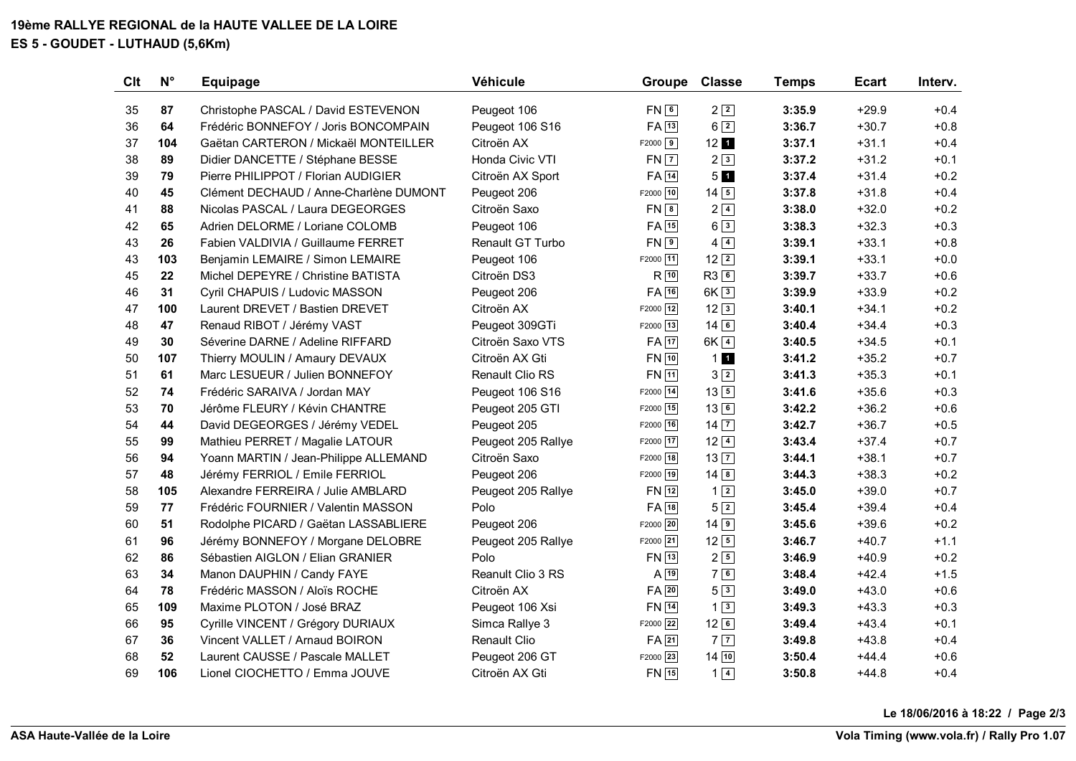**19ème RALLYE REGIONAL de la HAUTE VALLEE DE LA LOIRE ES 5 - GOUDET - LUTHAUD (5,6Km)**

| <b>Clt</b> | $N^{\circ}$ | <b>Equipage</b>                        | Véhicule            | Groupe             | <b>Classe</b>                        | <b>Temps</b> | <b>Ecart</b> | Interv. |
|------------|-------------|----------------------------------------|---------------------|--------------------|--------------------------------------|--------------|--------------|---------|
| 35         | 87          | Christophe PASCAL / David ESTEVENON    | Peugeot 106         | FN6                | $2\sqrt{2}$                          | 3:35.9       | $+29.9$      | $+0.4$  |
| 36         | 64          | Frédéric BONNEFOY / Joris BONCOMPAIN   | Peugeot 106 S16     | FA 13              | $6\sqrt{2}$                          | 3:36.7       | $+30.7$      | $+0.8$  |
| 37         | 104         | Gaëtan CARTERON / Mickaël MONTEILLER   | Citroën AX          | $F2000$ 9          | $12$ 1                               | 3:37.1       | $+31.1$      | $+0.4$  |
| 38         | 89          | Didier DANCETTE / Stéphane BESSE       | Honda Civic VTI     | $FN$ $7$           | $2\sqrt{3}$                          | 3:37.2       | $+31.2$      | $+0.1$  |
| 39         | 79          | Pierre PHILIPPOT / Florian AUDIGIER    | Citroën AX Sport    | FA 14              | 5 <sub>1</sub>                       | 3:37.4       | $+31.4$      | $+0.2$  |
| 40         | 45          | Clément DECHAUD / Anne-Charlène DUMONT | Peugeot 206         | F2000 10           | $14\overline{5}$                     | 3:37.8       | $+31.8$      | $+0.4$  |
| 41         | 88          | Nicolas PASCAL / Laura DEGEORGES       | Citroën Saxo        | $FN$ $8$           | $2\sqrt{4}$                          | 3:38.0       | $+32.0$      | $+0.2$  |
| 42         | 65          | Adrien DELORME / Loriane COLOMB        | Peugeot 106         | $FA$ <sup>15</sup> | $6\sqrt{3}$                          | 3:38.3       | $+32.3$      | $+0.3$  |
| 43         | 26          | Fabien VALDIVIA / Guillaume FERRET     | Renault GT Turbo    | $FN \boxed{9}$     | $4\sqrt{4}$                          | 3:39.1       | $+33.1$      | $+0.8$  |
| 43         | 103         | Benjamin LEMAIRE / Simon LEMAIRE       | Peugeot 106         | F2000 11           | $12\sqrt{2}$                         | 3:39.1       | $+33.1$      | $+0.0$  |
| 45         | 22          | Michel DEPEYRE / Christine BATISTA     | Citroën DS3         | $R$ <sup>10</sup>  | R36                                  | 3:39.7       | $+33.7$      | $+0.6$  |
| 46         | 31          | Cyril CHAPUIS / Ludovic MASSON         | Peugeot 206         | $FA$ 16            | $6K\sqrt{3}$                         | 3:39.9       | $+33.9$      | $+0.2$  |
| 47         | 100         | Laurent DREVET / Bastien DREVET        | Citroën AX          | F2000 12           | $12\overline{3}$                     | 3:40.1       | $+34.1$      | $+0.2$  |
| 48         | 47          | Renaud RIBOT / Jérémy VAST             | Peugeot 309GTi      | F2000 13           | $14$ 6                               | 3:40.4       | $+34.4$      | $+0.3$  |
| 49         | 30          | Séverine DARNE / Adeline RIFFARD       | Citroën Saxo VTS    | $FA$ <sup>17</sup> | $6K\sqrt{4}$                         | 3:40.5       | $+34.5$      | $+0.1$  |
| 50         | 107         | Thierry MOULIN / Amaury DEVAUX         | Citroën AX Gti      | $FN$ 10            | 11                                   | 3:41.2       | $+35.2$      | $+0.7$  |
| 51         | 61          | Marc LESUEUR / Julien BONNEFOY         | Renault Clio RS     | FN 11              | $3\sqrt{2}$                          | 3:41.3       | $+35.3$      | $+0.1$  |
| 52         | 74          | Frédéric SARAIVA / Jordan MAY          | Peugeot 106 S16     | F2000 14           | $13\boxed{5}$                        | 3:41.6       | $+35.6$      | $+0.3$  |
| 53         | 70          | Jérôme FLEURY / Kévin CHANTRE          | Peugeot 205 GTI     | F2000 15           | $13\sqrt{6}$                         | 3:42.2       | $+36.2$      | $+0.6$  |
| 54         | 44          | David DEGEORGES / Jérémy VEDEL         | Peugeot 205         | F2000 16           | $14\overline{7}$                     | 3:42.7       | $+36.7$      | $+0.5$  |
| 55         | 99          | Mathieu PERRET / Magalie LATOUR        | Peugeot 205 Rallye  | F2000 17           | $12\sqrt{4}$                         | 3:43.4       | $+37.4$      | $+0.7$  |
| 56         | 94          | Yoann MARTIN / Jean-Philippe ALLEMAND  | Citroën Saxo        | F2000 18           | $13\overline{7}$                     | 3:44.1       | $+38.1$      | $+0.7$  |
| 57         | 48          | Jérémy FERRIOL / Emile FERRIOL         | Peugeot 206         | F2000 19           | $14 \overline{\overline{\smash{8}}}$ | 3:44.3       | $+38.3$      | $+0.2$  |
| 58         | 105         | Alexandre FERREIRA / Julie AMBLARD     | Peugeot 205 Rallye  | FN 12              | $1\sqrt{2}$                          | 3:45.0       | $+39.0$      | $+0.7$  |
| 59         | 77          | Frédéric FOURNIER / Valentin MASSON    | Polo                | $FA$ <sup>18</sup> | $5\sqrt{2}$                          | 3:45.4       | $+39.4$      | $+0.4$  |
| 60         | 51          | Rodolphe PICARD / Gaëtan LASSABLIERE   | Peugeot 206         | F2000 20           | $14\sqrt{9}$                         | 3:45.6       | $+39.6$      | $+0.2$  |
| 61         | 96          | Jérémy BONNEFOY / Morgane DELOBRE      | Peugeot 205 Rallye  | F2000 21           | $12\sqrt{5}$                         | 3:46.7       | $+40.7$      | $+1.1$  |
| 62         | 86          | Sébastien AIGLON / Elian GRANIER       | Polo                | FN 13              | $2\sqrt{5}$                          | 3:46.9       | $+40.9$      | $+0.2$  |
| 63         | 34          | Manon DAUPHIN / Candy FAYE             | Reanult Clio 3 RS   | $A$ <sup>19</sup>  | 76                                   | 3:48.4       | $+42.4$      | $+1.5$  |
| 64         | 78          | Frédéric MASSON / Aloïs ROCHE          | Citroën AX          | $FA$ <sup>20</sup> | 53                                   | 3:49.0       | $+43.0$      | $+0.6$  |
| 65         | 109         | Maxime PLOTON / José BRAZ              | Peugeot 106 Xsi     | <b>FN</b> 14       | $1\sqrt{3}$                          | 3:49.3       | $+43.3$      | $+0.3$  |
| 66         | 95          | Cyrille VINCENT / Grégory DURIAUX      | Simca Rallye 3      | F2000 22           | $12\sqrt{6}$                         | 3:49.4       | $+43.4$      | $+0.1$  |
| 67         | 36          | Vincent VALLET / Arnaud BOIRON         | <b>Renault Clio</b> | $FA$ 21            | $7\overline{7}$                      | 3:49.8       | $+43.8$      | $+0.4$  |
| 68         | 52          | Laurent CAUSSE / Pascale MALLET        | Peugeot 206 GT      | F2000 23           | 14 10                                | 3:50.4       | $+44.4$      | $+0.6$  |
| 69         | 106         | Lionel CIOCHETTO / Emma JOUVE          | Citroën AX Gti      | FN 15              | $1 \vert 4 \vert$                    | 3:50.8       | $+44.8$      | $+0.4$  |

**Le 18/06/2016 à 18:22 / Page 2/3**